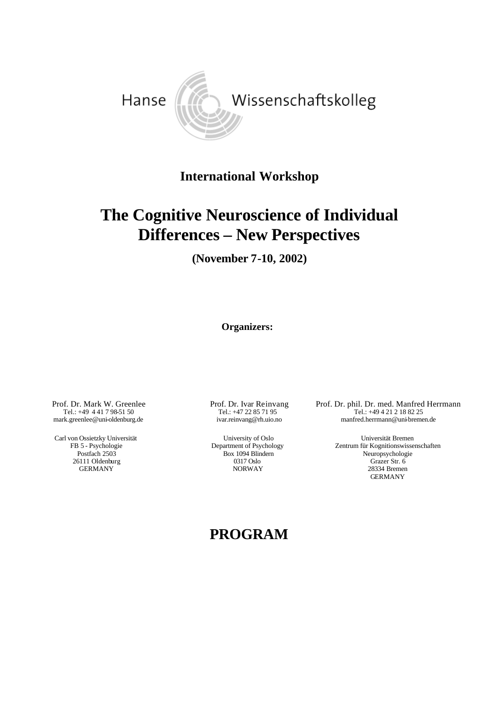

## **International Workshop**

# **The Cognitive Neuroscience of Individual Differences – New Perspectives**

**(November 7-10, 2002)**

**Organizers:**

Prof. Dr. Mark W. Greenlee Tel.: +49 4 41 7 98-51 50 mark.greenlee@uni-oldenburg.de

Carl von Ossietzky Universität FB 5 - Psychologie Postfach 2503 26111 Oldenburg GERMANY

 Prof. Dr. Ivar Reinvang Tel.: +47 22 85 71 95 ivar.reinvang@rh.uio.no

 University of Oslo Department of Psychology Box 1094 Blindern 0317 Oslo NORWAY

Prof. Dr. phil. Dr. med. Manfred Herrmann Tel.: +49 4 21 2 18 82 25 manfred.herrmann@uni-bremen.de

> Universität Bremen Zentrum für Kognitionswissenschaften Neuropsychologie Grazer Str. 6 28334 Bremen GERMANY

### **PROGRAM**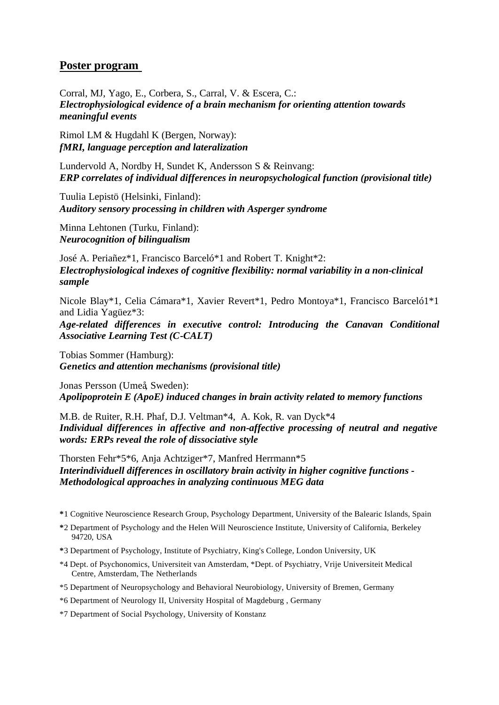#### **Poster program**

Corral, MJ, Yago, E., Corbera, S., Carral, V. & Escera, C.: *Electrophysiological evidence of a brain mechanism for orienting attention towards meaningful events*

Rimol LM & Hugdahl K (Bergen, Norway): *fMRI, language perception and lateralization*

Lundervold A, Nordby H, Sundet K, Andersson S & Reinvang: *ERP correlates of individual differences in neuropsychological function (provisional title)*

Tuulia Lepistö (Helsinki, Finland): *Auditory sensory processing in children with Asperger syndrome*

Minna Lehtonen (Turku, Finland): *Neurocognition of bilingualism* 

José A. Periañez\*1, Francisco Barceló\*1 and Robert T. Knight\*2: *Electrophysiological indexes of cognitive flexibility: normal variability in a non-clinical sample*

Nicole Blay\*1, Celia Cámara\*1, Xavier Revert\*1, Pedro Montoya\*1, Francisco Barceló1\*1 and Lidia Yagüez\*3:

*Age-related differences in executive control: Introducing the Canavan Conditional Associative Learning Test (C-CALT)*

Tobias Sommer (Hamburg): *Genetics and attention mechanisms (provisional title)*

Jonas Persson (Umeå, Sweden): *Apolipoprotein E (ApoE) induced changes in brain activity related to memory functions*

M.B. de Ruiter, R.H. Phaf, D.J. Veltman\*4, A. Kok, R. van Dyck\*4 *Individual differences in affective and non-affective processing of neutral and negative words: ERPs reveal the role of dissociative style*

Thorsten Fehr\*5\*6, Anja Achtziger\*7, Manfred Herrmann\*5 *Interindividuell differences in oscillatory brain activity in higher cognitive functions - Methodological approaches in analyzing continuous MEG data*

- **\***1 Cognitive Neuroscience Research Group, Psychology Department, University of the Balearic Islands, Spain
- **\***2 Department of Psychology and the Helen Will Neuroscience Institute, University of California, Berkeley 94720, USA
- **\***3 Department of Psychology, Institute of Psychiatry, King's College, London University, UK
- \*4 Dept. of Psychonomics, Universiteit van Amsterdam, \*Dept. of Psychiatry, Vrije Universiteit Medical Centre, Amsterdam, The Netherlands
- \*5 Department of Neuropsychology and Behavioral Neurobiology, University of Bremen, Germany
- \*6 Department of Neurology II, University Hospital of Magdeburg , Germany

\*7 Department of Social Psychology, University of Konstanz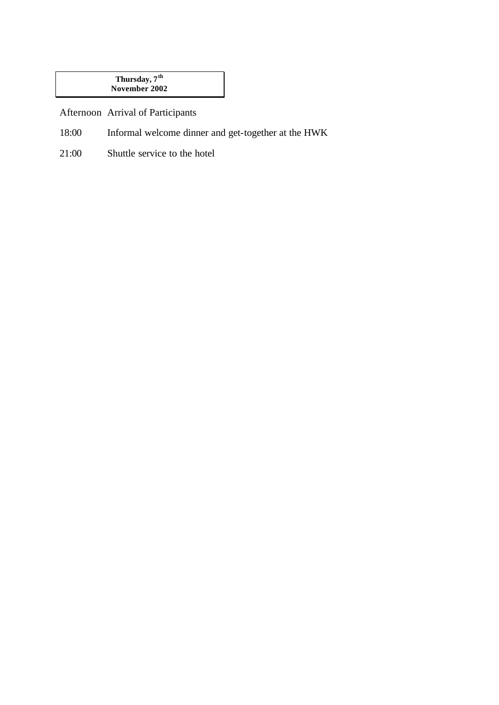#### **Thursday, 7th November 2002**

Afternoon Arrival of Participants

- 18:00 Informal welcome dinner and get-together at the HWK
- 21:00 Shuttle service to the hotel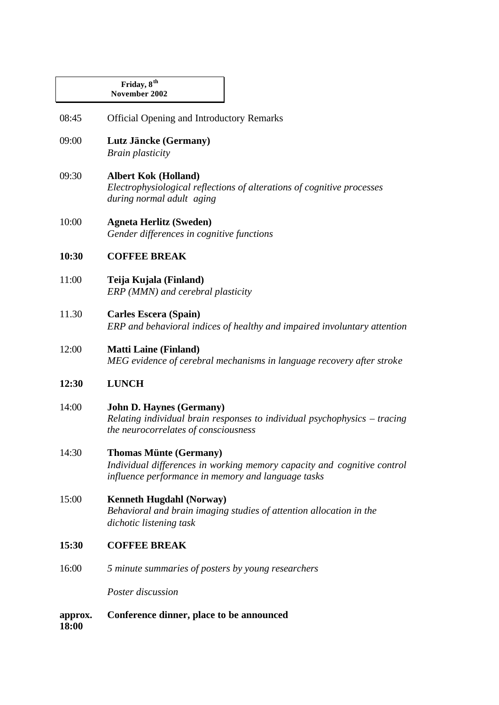|       | Friday, 8 <sup>th</sup><br>November 2002                                                                                                                       |
|-------|----------------------------------------------------------------------------------------------------------------------------------------------------------------|
| 08:45 | <b>Official Opening and Introductory Remarks</b>                                                                                                               |
| 09:00 | Lutz Jäncke (Germany)<br><b>Brain plasticity</b>                                                                                                               |
| 09:30 | <b>Albert Kok (Holland)</b><br>Electrophysiological reflections of alterations of cognitive processes<br>during normal adult aging                             |
| 10:00 | <b>Agneta Herlitz (Sweden)</b><br>Gender differences in cognitive functions                                                                                    |
| 10:30 | <b>COFFEE BREAK</b>                                                                                                                                            |
| 11:00 | Teija Kujala (Finland)<br>ERP (MMN) and cerebral plasticity                                                                                                    |
| 11.30 | <b>Carles Escera (Spain)</b><br>ERP and behavioral indices of healthy and impaired involuntary attention                                                       |
| 12:00 | <b>Matti Laine (Finland)</b><br>MEG evidence of cerebral mechanisms in language recovery after stroke                                                          |
| 12:30 | <b>LUNCH</b>                                                                                                                                                   |
| 14:00 | <b>John D. Haynes (Germany)</b><br>Relating individual brain responses to individual psychophysics $-$ tracing<br>the neurocorrelates of consciousness         |
| 14:30 | <b>Thomas Münte (Germany)</b><br>Individual differences in working memory capacity and cognitive control<br>influence performance in memory and language tasks |
| 15:00 | <b>Kenneth Hugdahl (Norway)</b><br>Behavioral and brain imaging studies of attention allocation in the<br>dichotic listening task                              |
| 15:30 | <b>COFFEE BREAK</b>                                                                                                                                            |
| 16:00 | 5 minute summaries of posters by young researchers                                                                                                             |
|       | Poster discussion                                                                                                                                              |

**approx. 18:00 Conference dinner, place to be announced**